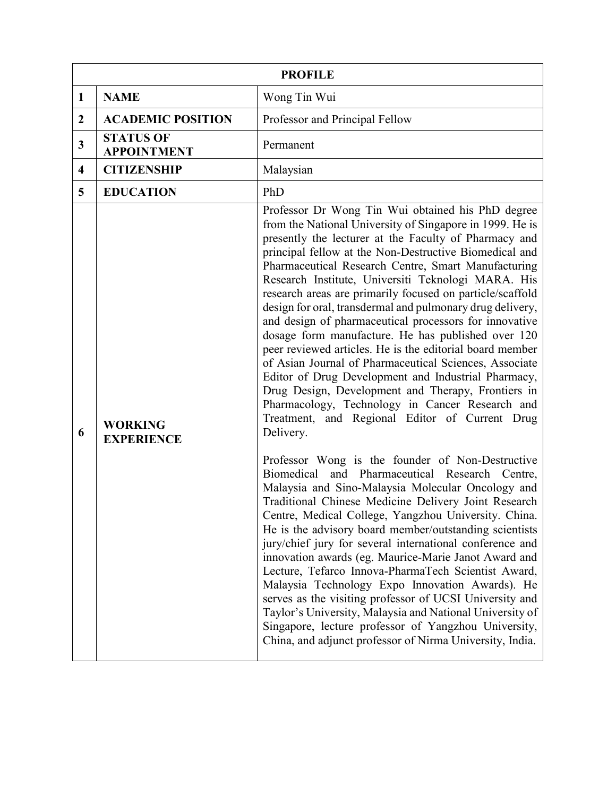| <b>PROFILE</b>          |                                        |                                                                                                                                                                                                                                                                                                                                                                                                                                                                                                                                                                                                                                                                                                                                                                                                                                                                                                                                                                                                                                                                                                                                                                                                                                                                                                                                                                                                                                                                                                                                                                                                                                                                                                                                                               |  |  |
|-------------------------|----------------------------------------|---------------------------------------------------------------------------------------------------------------------------------------------------------------------------------------------------------------------------------------------------------------------------------------------------------------------------------------------------------------------------------------------------------------------------------------------------------------------------------------------------------------------------------------------------------------------------------------------------------------------------------------------------------------------------------------------------------------------------------------------------------------------------------------------------------------------------------------------------------------------------------------------------------------------------------------------------------------------------------------------------------------------------------------------------------------------------------------------------------------------------------------------------------------------------------------------------------------------------------------------------------------------------------------------------------------------------------------------------------------------------------------------------------------------------------------------------------------------------------------------------------------------------------------------------------------------------------------------------------------------------------------------------------------------------------------------------------------------------------------------------------------|--|--|
| 1                       | <b>NAME</b>                            | Wong Tin Wui                                                                                                                                                                                                                                                                                                                                                                                                                                                                                                                                                                                                                                                                                                                                                                                                                                                                                                                                                                                                                                                                                                                                                                                                                                                                                                                                                                                                                                                                                                                                                                                                                                                                                                                                                  |  |  |
| $\boldsymbol{2}$        | <b>ACADEMIC POSITION</b>               | Professor and Principal Fellow                                                                                                                                                                                                                                                                                                                                                                                                                                                                                                                                                                                                                                                                                                                                                                                                                                                                                                                                                                                                                                                                                                                                                                                                                                                                                                                                                                                                                                                                                                                                                                                                                                                                                                                                |  |  |
| 3                       | <b>STATUS OF</b><br><b>APPOINTMENT</b> | Permanent                                                                                                                                                                                                                                                                                                                                                                                                                                                                                                                                                                                                                                                                                                                                                                                                                                                                                                                                                                                                                                                                                                                                                                                                                                                                                                                                                                                                                                                                                                                                                                                                                                                                                                                                                     |  |  |
| $\overline{\mathbf{4}}$ | <b>CITIZENSHIP</b>                     | Malaysian                                                                                                                                                                                                                                                                                                                                                                                                                                                                                                                                                                                                                                                                                                                                                                                                                                                                                                                                                                                                                                                                                                                                                                                                                                                                                                                                                                                                                                                                                                                                                                                                                                                                                                                                                     |  |  |
| 5                       | <b>EDUCATION</b>                       | PhD                                                                                                                                                                                                                                                                                                                                                                                                                                                                                                                                                                                                                                                                                                                                                                                                                                                                                                                                                                                                                                                                                                                                                                                                                                                                                                                                                                                                                                                                                                                                                                                                                                                                                                                                                           |  |  |
| 6                       | <b>WORKING</b><br><b>EXPERIENCE</b>    | Professor Dr Wong Tin Wui obtained his PhD degree<br>from the National University of Singapore in 1999. He is<br>presently the lecturer at the Faculty of Pharmacy and<br>principal fellow at the Non-Destructive Biomedical and<br>Pharmaceutical Research Centre, Smart Manufacturing<br>Research Institute, Universiti Teknologi MARA. His<br>research areas are primarily focused on particle/scaffold<br>design for oral, transdermal and pulmonary drug delivery,<br>and design of pharmaceutical processors for innovative<br>dosage form manufacture. He has published over 120<br>peer reviewed articles. He is the editorial board member<br>of Asian Journal of Pharmaceutical Sciences, Associate<br>Editor of Drug Development and Industrial Pharmacy,<br>Drug Design, Development and Therapy, Frontiers in<br>Pharmacology, Technology in Cancer Research and<br>Treatment, and Regional Editor of Current Drug<br>Delivery.<br>Professor Wong is the founder of Non-Destructive<br>Biomedical<br>and Pharmaceutical Research Centre,<br>Malaysia and Sino-Malaysia Molecular Oncology and<br>Traditional Chinese Medicine Delivery Joint Research<br>Centre, Medical College, Yangzhou University. China.<br>He is the advisory board member/outstanding scientists<br>jury/chief jury for several international conference and<br>innovation awards (eg. Maurice-Marie Janot Award and<br>Lecture, Tefarco Innova-PharmaTech Scientist Award,<br>Malaysia Technology Expo Innovation Awards). He<br>serves as the visiting professor of UCSI University and<br>Taylor's University, Malaysia and National University of<br>Singapore, lecture professor of Yangzhou University,<br>China, and adjunct professor of Nirma University, India. |  |  |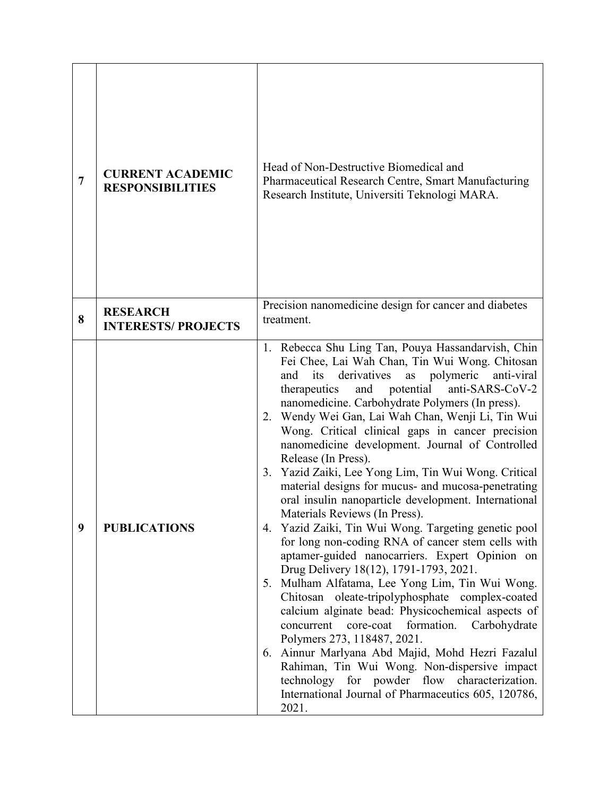| $\overline{7}$ | <b>CURRENT ACADEMIC</b><br><b>RESPONSIBILITIES</b> | Head of Non-Destructive Biomedical and<br>Pharmaceutical Research Centre, Smart Manufacturing<br>Research Institute, Universiti Teknologi MARA.                                                                                                                                                                                                                                                                                                                                                                                                                                                                                                                                                                                                                                                                                                                                                                                                                                                                                                                                                                                                                                                                                                                                                                                                     |
|----------------|----------------------------------------------------|-----------------------------------------------------------------------------------------------------------------------------------------------------------------------------------------------------------------------------------------------------------------------------------------------------------------------------------------------------------------------------------------------------------------------------------------------------------------------------------------------------------------------------------------------------------------------------------------------------------------------------------------------------------------------------------------------------------------------------------------------------------------------------------------------------------------------------------------------------------------------------------------------------------------------------------------------------------------------------------------------------------------------------------------------------------------------------------------------------------------------------------------------------------------------------------------------------------------------------------------------------------------------------------------------------------------------------------------------------|
| 8              | <b>RESEARCH</b><br><b>INTERESTS/ PROJECTS</b>      | Precision nanomedicine design for cancer and diabetes<br>treatment.                                                                                                                                                                                                                                                                                                                                                                                                                                                                                                                                                                                                                                                                                                                                                                                                                                                                                                                                                                                                                                                                                                                                                                                                                                                                                 |
| 9              | <b>PUBLICATIONS</b>                                | 1. Rebecca Shu Ling Tan, Pouya Hassandarvish, Chin<br>Fei Chee, Lai Wah Chan, Tin Wui Wong. Chitosan<br>its derivatives<br>as polymeric<br>anti-viral<br>and<br>potential<br>anti-SARS-CoV-2<br>therapeutics<br>and<br>nanomedicine. Carbohydrate Polymers (In press).<br>2. Wendy Wei Gan, Lai Wah Chan, Wenji Li, Tin Wui<br>Wong. Critical clinical gaps in cancer precision<br>nanomedicine development. Journal of Controlled<br>Release (In Press).<br>3. Yazid Zaiki, Lee Yong Lim, Tin Wui Wong. Critical<br>material designs for mucus- and mucosa-penetrating<br>oral insulin nanoparticle development. International<br>Materials Reviews (In Press).<br>4. Yazid Zaiki, Tin Wui Wong. Targeting genetic pool<br>for long non-coding RNA of cancer stem cells with<br>aptamer-guided nanocarriers. Expert Opinion on<br>Drug Delivery 18(12), 1791-1793, 2021.<br>Mulham Alfatama, Lee Yong Lim, Tin Wui Wong.<br>5.<br>Chitosan oleate-tripolyphosphate complex-coated<br>calcium alginate bead: Physicochemical aspects of<br>formation.<br>Carbohydrate<br>concurrent<br>core-coat<br>Polymers 273, 118487, 2021.<br>6. Ainnur Marlyana Abd Majid, Mohd Hezri Fazalul<br>Rahiman, Tin Wui Wong. Non-dispersive impact<br>technology for powder flow characterization.<br>International Journal of Pharmaceutics 605, 120786,<br>2021. |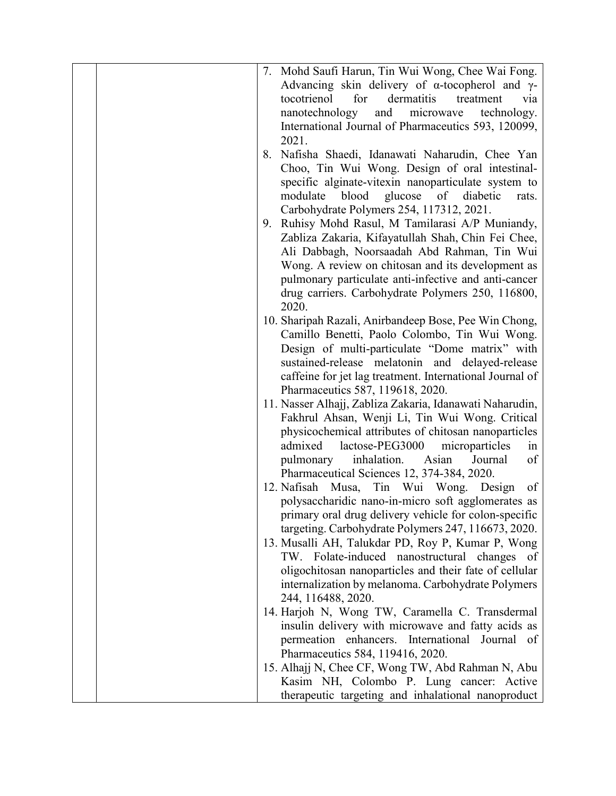|    | 7. Mohd Saufi Harun, Tin Wui Wong, Chee Wai Fong.                                                       |
|----|---------------------------------------------------------------------------------------------------------|
|    | Advancing skin delivery of $\alpha$ -tocopherol and $\gamma$ -                                          |
|    | for<br>dermatitis<br>tocotrienol<br>treatment<br>via                                                    |
|    | nanotechnology<br>and<br>microwave<br>technology.                                                       |
|    | International Journal of Pharmaceutics 593, 120099,                                                     |
|    | 2021.                                                                                                   |
| 8. | Nafisha Shaedi, Idanawati Naharudin, Chee Yan                                                           |
|    | Choo, Tin Wui Wong. Design of oral intestinal-                                                          |
|    | specific alginate-vitexin nanoparticulate system to                                                     |
|    | glucose of diabetic<br>blood<br>modulate<br>rats.                                                       |
|    | Carbohydrate Polymers 254, 117312, 2021.                                                                |
| 9. | Ruhisy Mohd Rasul, M Tamilarasi A/P Muniandy,                                                           |
|    | Zabliza Zakaria, Kifayatullah Shah, Chin Fei Chee,                                                      |
|    | Ali Dabbagh, Noorsaadah Abd Rahman, Tin Wui                                                             |
|    | Wong. A review on chitosan and its development as                                                       |
|    | pulmonary particulate anti-infective and anti-cancer                                                    |
|    | drug carriers. Carbohydrate Polymers 250, 116800,                                                       |
|    | 2020.                                                                                                   |
|    | 10. Sharipah Razali, Anirbandeep Bose, Pee Win Chong,                                                   |
|    | Camillo Benetti, Paolo Colombo, Tin Wui Wong.                                                           |
|    | Design of multi-particulate "Dome matrix" with                                                          |
|    | sustained-release melatonin and delayed-release                                                         |
|    | caffeine for jet lag treatment. International Journal of                                                |
|    | Pharmaceutics 587, 119618, 2020.                                                                        |
|    | 11. Nasser Alhajj, Zabliza Zakaria, Idanawati Naharudin,                                                |
|    | Fakhrul Ahsan, Wenji Li, Tin Wui Wong. Critical                                                         |
|    | physicochemical attributes of chitosan nanoparticles                                                    |
|    | admixed<br>lactose-PEG3000<br>microparticles<br>1n                                                      |
|    | inhalation.<br>of<br>pulmonary<br>Asian<br>Journal                                                      |
|    | Pharmaceutical Sciences 12, 374-384, 2020.                                                              |
|    | 12. Nafisah<br>Musa,<br>Tin Wui Wong. Design<br>of                                                      |
|    | polysaccharidic nano-in-micro soft agglomerates as                                                      |
|    | primary oral drug delivery vehicle for colon-specific                                                   |
|    | targeting. Carbohydrate Polymers 247, 116673, 2020.                                                     |
|    | 13. Musalli AH, Talukdar PD, Roy P, Kumar P, Wong                                                       |
|    | TW. Folate-induced nanostructural changes of                                                            |
|    | oligochitosan nanoparticles and their fate of cellular                                                  |
|    | internalization by melanoma. Carbohydrate Polymers<br>244, 116488, 2020.                                |
|    |                                                                                                         |
|    | 14. Harjoh N, Wong TW, Caramella C. Transdermal                                                         |
|    | insulin delivery with microwave and fatty acids as<br>permeation enhancers.<br>International Journal of |
|    | Pharmaceutics 584, 119416, 2020.                                                                        |
|    | 15. Alhajj N, Chee CF, Wong TW, Abd Rahman N, Abu                                                       |
|    | Kasim NH, Colombo P. Lung cancer: Active                                                                |
|    | therapeutic targeting and inhalational nanoproduct                                                      |
|    |                                                                                                         |